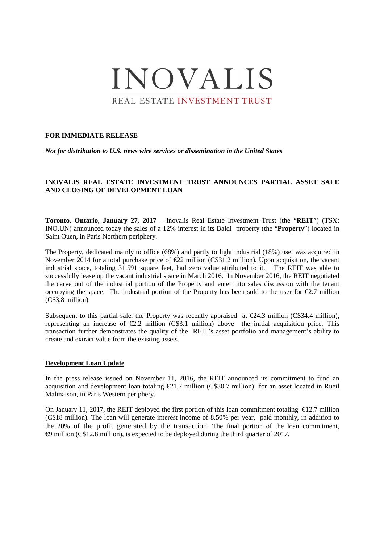

## **FOR IMMEDIATE RELEASE**

*Not for distribution to U.S. news wire services or dissemination in the United States*

## **INOVALIS REAL ESTATE INVESTMENT TRUST ANNOUNCES PARTIAL ASSET SALE AND CLOSING OF DEVELOPMENT LOAN**

**Toronto, Ontario, January 27, 2017** – Inovalis Real Estate Investment Trust (the "**REIT**") (TSX: INO.UN) announced today the sales of a 12% interest in its Baldi property (the "**Property**") located in Saint Ouen, in Paris Northern periphery.

The Property, dedicated mainly to office (68%) and partly to light industrial (18%) use, was acquired in November 2014 for a total purchase price of  $\epsilon$ 22 milion (C\$31.2 million). Upon acquisition, the vacant industrial space, totaling 31,591 square feet, had zero value attributed to it. The REIT was able to successfully lease up the vacant industrial space in March 2016. In November 2016, the REIT negotiated the carve out of the industrial portion of the Property and enter into sales discussion with the tenant occupying the space. The industrial portion of the Property has been sold to the user for  $\epsilon$ 2.7 million (C\$3.8 million).

Subsequent to this partial sale, the Property was recently appraised at  $\epsilon$ 24.3 million (C\$34.4 million), representing an increase of  $\epsilon$ 2.2 million (C\$3.1 milion) above the initial acquisition price. This transaction further demonstrates the quality of the REIT's asset portfolio and management's ability to create and extract value from the existing assets.

## **Development Loan Update**

In the press release issued on November 11, 2016, the REIT announced its commitment to fund an acquisition and development loan totaling  $\epsilon$ 21.7 milion (C\$30.7 million) for an asset located in Rueil Malmaison, in Paris Western periphery.

On January 11, 2017, the REIT deployed the first portion of this loan commitment totaling  $\epsilon$ 12.7 million (C\$18 million). The loan will generate interest income of 8.50% per year, paid monthly, in addition to the 20% of the profit generated by the transaction. The final portion of the loan commitment, €9 million (C\$12.8 million), is expected to be deployed during the third quarter of 2017.